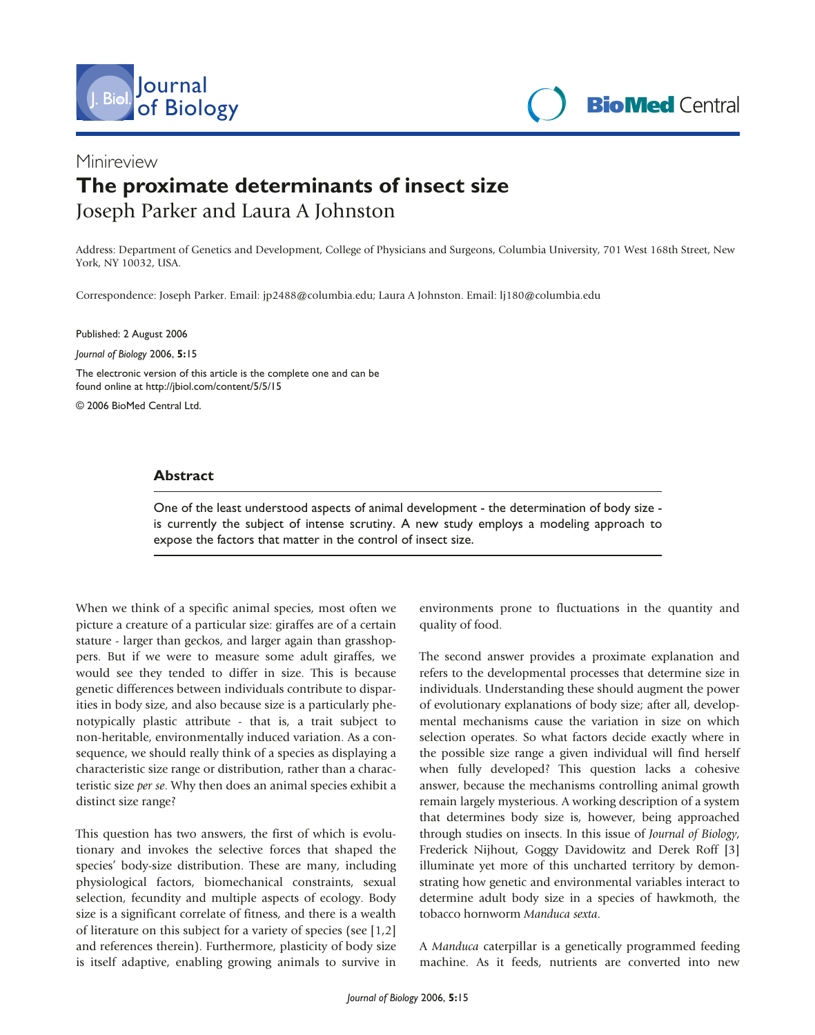

**Sournal**<br> **BioMed** Central **Contral Central** 

## Minireview

# **The proximate determinants of insect size** Joseph Parker and Laura A Johnston

Address: Department of Genetics and Development, College of Physicians and Surgeons, Columbia University, 701 West 168th Street, New York, NY 10032, USA.

Correspondence: Joseph Parker. Email: jp2488@columbia.edu; Laura A Johnston. Email: lj180@columbia.edu

Published: 2 August 2006

*Journal of Biology* 2006, **5:**15

The electronic version of this article is the complete one and can be found online at http://jbiol.com/content/5/5/15

© 2006 BioMed Central Ltd.

## **Abstract**

One of the least understood aspects of animal development - the determination of body size is currently the subject of intense scrutiny. A new study employs a modeling approach to expose the factors that matter in the control of insect size.

When we think of a specific animal species, most often we picture a creature of a particular size: giraffes are of a certain stature - larger than geckos, and larger again than grasshoppers. But if we were to measure some adult giraffes, we would see they tended to differ in size. This is because genetic differences between individuals contribute to disparities in body size, and also because size is a particularly phenotypically plastic attribute - that is, a trait subject to non-heritable, environmentally induced variation. As a consequence, we should really think of a species as displaying a characteristic size range or distribution, rather than a characteristic size per se. Why then does an animal species exhibit a distinct size range?

This question has two answers, the first of which is evolutionary and invokes the selective forces that shaped the species' body-size distribution. These are many, including physiological factors, biomechanical constraints, sexual selection, fecundity and multiple aspects of ecology. Body size is a significant correlate of fitness, and there is a wealth of literature on this subject for a variety of species (see [1,2] and references therein). Furthermore, plasticity of body size is itself adaptive, enabling growing animals to survive in environments prone to fluctuations in the quantity and quality of food.

The second answer provides a proximate explanation and refers to the developmental processes that determine size in individuals. Understanding these should augment the power of evolutionary explanations of body size; after all, developmental mechanisms cause the variation in size on which selection operates. So what factors decide exactly where in the possible size range a given individual will find herself when fully developed? This question lacks a cohesive answer, because the mechanisms controlling animal growth remain largely mysterious. A working description of a system that determines body size is, however, being approached through studies on insects. In this issue of Journal of Biology, Frederick Nijhout, Goggy Davidowitz and Derek Roff [3] illuminate yet more of this uncharted territory by demonstrating how genetic and environmental variables interact to determine adult body size in a species of hawkmoth, the tobacco hornworm Manduca sexta.

A Manduca caterpillar is a genetically programmed feeding machine. As it feeds, nutrients are converted into new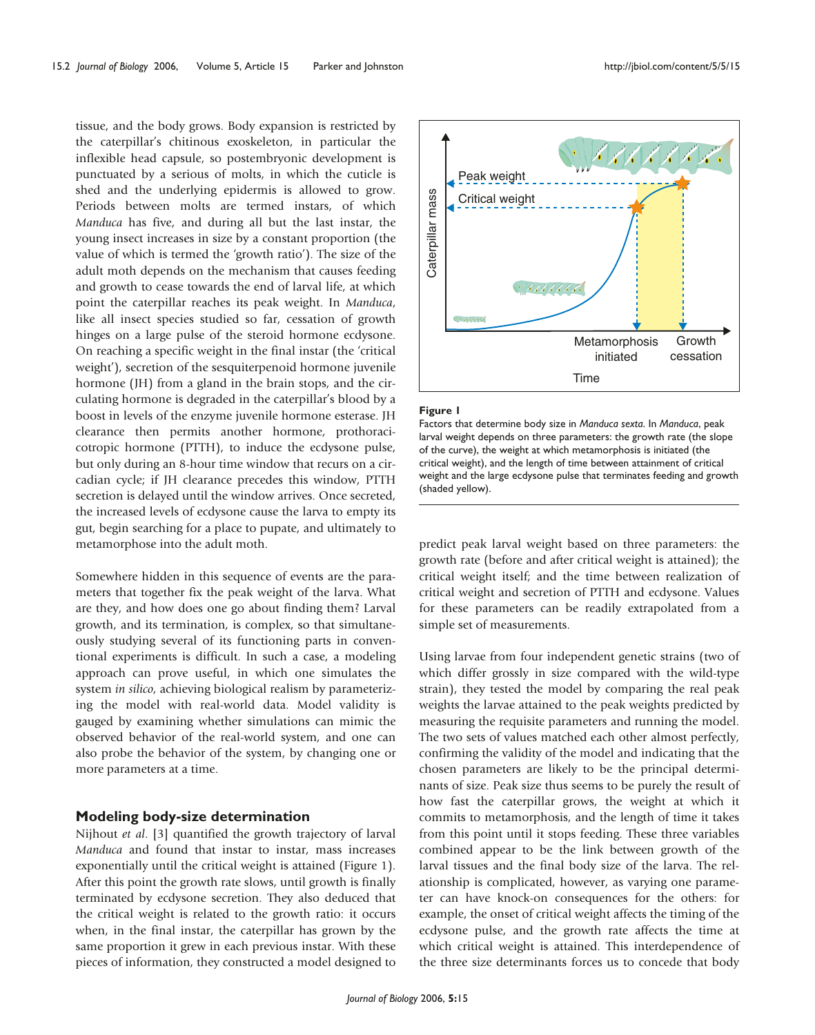tissue, and the body grows. Body expansion is restricted by the caterpillar's chitinous exoskeleton, in particular the inflexible head capsule, so postembryonic development is punctuated by a serious of molts, in which the cuticle is shed and the underlying epidermis is allowed to grow. Periods between molts are termed instars, of which Manduca has five, and during all but the last instar, the young insect increases in size by a constant proportion (the value of which is termed the 'growth ratio'). The size of the adult moth depends on the mechanism that causes feeding and growth to cease towards the end of larval life, at which point the caterpillar reaches its peak weight. In Manduca, like all insect species studied so far, cessation of growth hinges on a large pulse of the steroid hormone ecdysone. On reaching a specific weight in the final instar (the 'critical weight'), secretion of the sesquiterpenoid hormone juvenile hormone (JH) from a gland in the brain stops, and the circulating hormone is degraded in the caterpillar's blood by a boost in levels of the enzyme juvenile hormone esterase. JH clearance then permits another hormone, prothoracicotropic hormone (PTTH), to induce the ecdysone pulse, but only during an 8-hour time window that recurs on a circadian cycle; if JH clearance precedes this window, PTTH secretion is delayed until the window arrives. Once secreted, the increased levels of ecdysone cause the larva to empty its gut, begin searching for a place to pupate, and ultimately to metamorphose into the adult moth.

Somewhere hidden in this sequence of events are the parameters that together fix the peak weight of the larva. What are they, and how does one go about finding them? Larval growth, and its termination, is complex, so that simultaneously studying several of its functioning parts in conventional experiments is difficult. In such a case, a modeling approach can prove useful, in which one simulates the system in silico, achieving biological realism by parameterizing the model with real-world data. Model validity is gauged by examining whether simulations can mimic the observed behavior of the real-world system, and one can also probe the behavior of the system, by changing one or more parameters at a time.

#### **Modeling body-size determination**

Nijhout et al. [3] quantified the growth trajectory of larval Manduca and found that instar to instar, mass increases exponentially until the critical weight is attained (Figure 1). After this point the growth rate slows, until growth is finally terminated by ecdysone secretion. They also deduced that the critical weight is related to the growth ratio: it occurs when, in the final instar, the caterpillar has grown by the same proportion it grew in each previous instar. With these pieces of information, they constructed a model designed to



#### **Figure 1**

Factors that determine body size in *Manduca sexta*. In *Manduca*, peak larval weight depends on three parameters: the growth rate (the slope of the curve), the weight at which metamorphosis is initiated (the critical weight), and the length of time between attainment of critical weight and the large ecdysone pulse that terminates feeding and growth

predict peak larval weight based on three parameters: the growth rate (before and after critical weight is attained); the critical weight itself; and the time between realization of critical weight and secretion of PTTH and ecdysone. Values for these parameters can be readily extrapolated from a simple set of measurements.

Using larvae from four independent genetic strains (two of which differ grossly in size compared with the wild-type strain), they tested the model by comparing the real peak weights the larvae attained to the peak weights predicted by measuring the requisite parameters and running the model. The two sets of values matched each other almost perfectly, confirming the validity of the model and indicating that the chosen parameters are likely to be the principal determinants of size. Peak size thus seems to be purely the result of how fast the caterpillar grows, the weight at which it commits to metamorphosis, and the length of time it takes from this point until it stops feeding. These three variables combined appear to be the link between growth of the larval tissues and the final body size of the larva. The relationship is complicated, however, as varying one parameter can have knock-on consequences for the others: for example, the onset of critical weight affects the timing of the ecdysone pulse, and the growth rate affects the time at which critical weight is attained. This interdependence of the three size determinants forces us to concede that body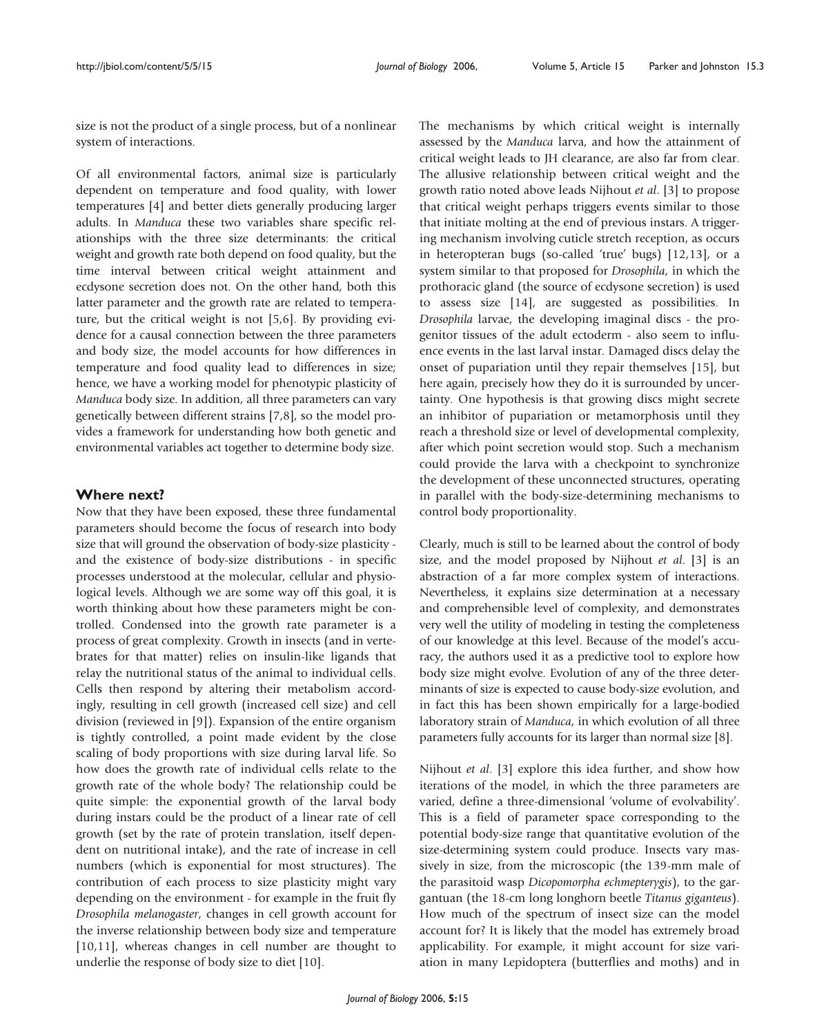size is not the product of a single process, but of a nonlinear system of interactions.

Of all environmental factors, animal size is particularly dependent on temperature and food quality, with lower temperatures [4] and better diets generally producing larger adults. In Manduca these two variables share specific relationships with the three size determinants: the critical weight and growth rate both depend on food quality, but the time interval between critical weight attainment and ecdysone secretion does not. On the other hand, both this latter parameter and the growth rate are related to temperature, but the critical weight is not [5,6]. By providing evidence for a causal connection between the three parameters and body size, the model accounts for how differences in temperature and food quality lead to differences in size; hence, we have a working model for phenotypic plasticity of Manduca body size. In addition, all three parameters can vary genetically between different strains [7,8], so the model provides a framework for understanding how both genetic and environmental variables act together to determine body size.

## **Where next?**

Now that they have been exposed, these three fundamental parameters should become the focus of research into body size that will ground the observation of body-size plasticity and the existence of body-size distributions - in specific processes understood at the molecular, cellular and physiological levels. Although we are some way off this goal, it is worth thinking about how these parameters might be controlled. Condensed into the growth rate parameter is a process of great complexity. Growth in insects (and in vertebrates for that matter) relies on insulin-like ligands that relay the nutritional status of the animal to individual cells. Cells then respond by altering their metabolism accordingly, resulting in cell growth (increased cell size) and cell division (reviewed in [9]). Expansion of the entire organism is tightly controlled, a point made evident by the close scaling of body proportions with size during larval life. So how does the growth rate of individual cells relate to the growth rate of the whole body? The relationship could be quite simple: the exponential growth of the larval body during instars could be the product of a linear rate of cell growth (set by the rate of protein translation, itself dependent on nutritional intake), and the rate of increase in cell numbers (which is exponential for most structures). The contribution of each process to size plasticity might vary depending on the environment - for example in the fruit fly Drosophila melanogaster, changes in cell growth account for the inverse relationship between body size and temperature [10,11], whereas changes in cell number are thought to underlie the response of body size to diet [10].

The mechanisms by which critical weight is internally assessed by the Manduca larva, and how the attainment of critical weight leads to JH clearance, are also far from clear. The allusive relationship between critical weight and the growth ratio noted above leads Nijhout et al. [3] to propose that critical weight perhaps triggers events similar to those that initiate molting at the end of previous instars. A triggering mechanism involving cuticle stretch reception, as occurs in heteropteran bugs (so-called 'true' bugs) [12,13], or a system similar to that proposed for Drosophila, in which the prothoracic gland (the source of ecdysone secretion) is used to assess size [14], are suggested as possibilities. In Drosophila larvae, the developing imaginal discs - the progenitor tissues of the adult ectoderm - also seem to influence events in the last larval instar. Damaged discs delay the onset of pupariation until they repair themselves [15], but here again, precisely how they do it is surrounded by uncertainty. One hypothesis is that growing discs might secrete an inhibitor of pupariation or metamorphosis until they reach a threshold size or level of developmental complexity, after which point secretion would stop. Such a mechanism could provide the larva with a checkpoint to synchronize the development of these unconnected structures, operating in parallel with the body-size-determining mechanisms to control body proportionality.

Clearly, much is still to be learned about the control of body size, and the model proposed by Nijhout et al. [3] is an abstraction of a far more complex system of interactions. Nevertheless, it explains size determination at a necessary and comprehensible level of complexity, and demonstrates very well the utility of modeling in testing the completeness of our knowledge at this level. Because of the model's accuracy, the authors used it as a predictive tool to explore how body size might evolve. Evolution of any of the three determinants of size is expected to cause body-size evolution, and in fact this has been shown empirically for a large-bodied laboratory strain of Manduca, in which evolution of all three parameters fully accounts for its larger than normal size [8].

Nijhout et al. [3] explore this idea further, and show how iterations of the model, in which the three parameters are varied, define a three-dimensional 'volume of evolvability'. This is a field of parameter space corresponding to the potential body-size range that quantitative evolution of the size-determining system could produce. Insects vary massively in size, from the microscopic (the 139-mm male of the parasitoid wasp Dicopomorpha echmepterygis), to the gargantuan (the 18-cm long longhorn beetle Titanus giganteus). How much of the spectrum of insect size can the model account for? It is likely that the model has extremely broad applicability. For example, it might account for size variation in many Lepidoptera (butterflies and moths) and in